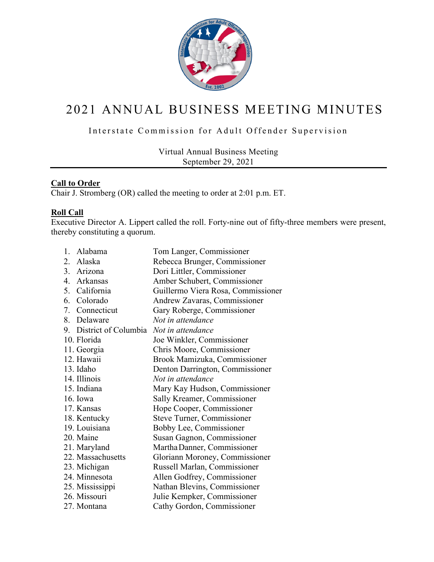

# 2021 ANNUAL BUSINESS MEETING MINUTES

# Interstate Commission for Adult Offender Supervision

Virtual Annual Business Meeting September 29, 2021

# **Call to Order**

Chair J. Stromberg (OR) called the meeting to order at 2:01 p.m. ET.

# **Roll Call**

Executive Director A. Lippert called the roll. Forty-nine out of fifty-three members were present, thereby constituting a quorum.

| 1.               | Alabama              | Tom Langer, Commissioner           |
|------------------|----------------------|------------------------------------|
| 2.               | Alaska               | Rebecca Brunger, Commissioner      |
| $\overline{3}$ . | Arizona              | Dori Littler, Commissioner         |
| 4.               | Arkansas             | Amber Schubert, Commissioner       |
| 5.               | California           | Guillermo Viera Rosa, Commissioner |
| 6.               | Colorado             | Andrew Zavaras, Commissioner       |
| 7.               | Connecticut          | Gary Roberge, Commissioner         |
| 8.               | Delaware             | Not in attendance                  |
| 9.               | District of Columbia | Not in attendance                  |
|                  | 10. Florida          | Joe Winkler, Commissioner          |
|                  | 11. Georgia          | Chris Moore, Commissioner          |
|                  | 12. Hawaii           | Brook Mamizuka, Commissioner       |
|                  | 13. Idaho            | Denton Darrington, Commissioner    |
|                  | 14. Illinois         | Not in attendance                  |
|                  | 15. Indiana          | Mary Kay Hudson, Commissioner      |
|                  | 16. Iowa             | Sally Kreamer, Commissioner        |
|                  | 17. Kansas           | Hope Cooper, Commissioner          |
|                  | 18. Kentucky         | <b>Steve Turner, Commissioner</b>  |
|                  | 19. Louisiana        | Bobby Lee, Commissioner            |
|                  | 20. Maine            | Susan Gagnon, Commissioner         |
|                  | 21. Maryland         | Martha Danner, Commissioner        |
|                  | 22. Massachusetts    | Gloriann Moroney, Commissioner     |
|                  | 23. Michigan         | Russell Marlan, Commissioner       |
|                  | 24. Minnesota        | Allen Godfrey, Commissioner        |
|                  | 25. Mississippi      | Nathan Blevins, Commissioner       |
|                  | 26. Missouri         | Julie Kempker, Commissioner        |
|                  | 27. Montana          | Cathy Gordon, Commissioner         |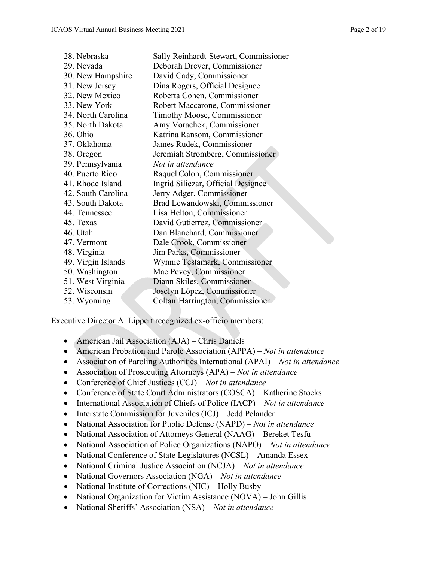| 28. Nebraska       | Sally Reinhardt-Stewart, Commissioner |
|--------------------|---------------------------------------|
| 29. Nevada         | Deborah Dreyer, Commissioner          |
| 30. New Hampshire  | David Cady, Commissioner              |
| 31. New Jersey     | Dina Rogers, Official Designee        |
| 32. New Mexico     | Roberta Cohen, Commissioner           |
| 33. New York       | Robert Maccarone, Commissioner        |
| 34. North Carolina | Timothy Moose, Commissioner           |
| 35. North Dakota   | Amy Vorachek, Commissioner            |
| 36. Ohio           | Katrina Ransom, Commissioner          |
| 37. Oklahoma       | James Rudek, Commissioner             |
| 38. Oregon         | Jeremiah Stromberg, Commissioner      |
| 39. Pennsylvania   | Not in attendance                     |
| 40. Puerto Rico    | Raquel Colon, Commissioner            |
| 41. Rhode Island   | Ingrid Siliezar, Official Designee    |
| 42. South Carolina | Jerry Adger, Commissioner             |
| 43. South Dakota   | Brad Lewandowski, Commissioner        |
| 44. Tennessee      | Lisa Helton, Commissioner             |
| 45. Texas          | David Gutierrez, Commissioner         |
| 46. Utah           | Dan Blanchard, Commissioner           |
| 47. Vermont        | Dale Crook, Commissioner              |
| 48. Virginia       | Jim Parks, Commissioner               |
| 49. Virgin Islands | Wynnie Testamark, Commissioner        |
| 50. Washington     | Mac Pevey, Commissioner               |
| 51. West Virginia  | Diann Skiles, Commissioner            |
| 52. Wisconsin      | Joselyn López, Commissioner           |
| 53. Wyoming        | Coltan Harrington, Commissioner       |

Executive Director A. Lippert recognized ex-officio members:

- American Jail Association (AJA) Chris Daniels
- American Probation and Parole Association (APPA) *Not in attendance*
- Association of Paroling Authorities International (APAI) *Not in attendance*
- Association of Prosecuting Attorneys (APA) *Not in attendance*
- Conference of Chief Justices (CCJ) *Not in attendance*
- Conference of State Court Administrators (COSCA) Katherine Stocks
- International Association of Chiefs of Police (IACP) *Not in attendance*
- Interstate Commission for Juveniles (ICJ) Jedd Pelander
- National Association for Public Defense (NAPD) *Not in attendance*
- National Association of Attorneys General (NAAG) Bereket Tesfu
- National Association of Police Organizations (NAPO) *Not in attendance*
- National Conference of State Legislatures (NCSL) Amanda Essex
- National Criminal Justice Association (NCJA) *Not in attendance*
- National Governors Association (NGA) *Not in attendance*
- National Institute of Corrections (NIC) Holly Busby
- National Organization for Victim Assistance (NOVA) John Gillis
- National Sheriffs' Association (NSA) *Not in attendance*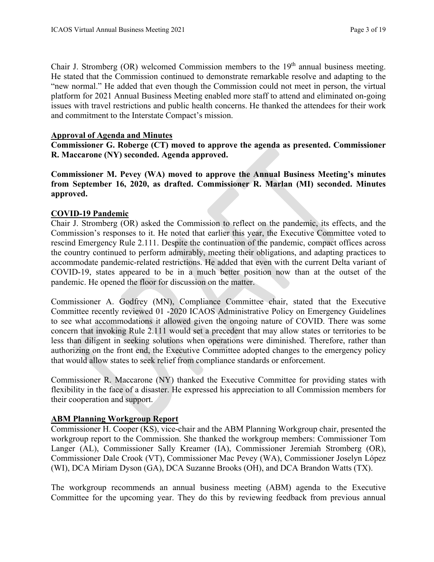Chair J. Stromberg  $(OR)$  welcomed Commission members to the  $19<sup>th</sup>$  annual business meeting. He stated that the Commission continued to demonstrate remarkable resolve and adapting to the "new normal." He added that even though the Commission could not meet in person, the virtual platform for 2021 Annual Business Meeting enabled more staff to attend and eliminated on-going issues with travel restrictions and public health concerns. He thanked the attendees for their work and commitment to the Interstate Compact's mission.

## **Approval of Agenda and Minutes**

**Commissioner G. Roberge (CT) moved to approve the agenda as presented. Commissioner R. Maccarone (NY) seconded. Agenda approved.** 

**Commissioner M. Pevey (WA) moved to approve the Annual Business Meeting's minutes from September 16, 2020, as drafted. Commissioner R. Marlan (MI) seconded. Minutes approved.** 

# **COVID-19 Pandemic**

Chair J. Stromberg (OR) asked the Commission to reflect on the pandemic, its effects, and the Commission's responses to it. He noted that earlier this year, the Executive Committee voted to rescind Emergency Rule 2.111. Despite the continuation of the pandemic, compact offices across the country continued to perform admirably, meeting their obligations, and adapting practices to accommodate pandemic-related restrictions. He added that even with the current Delta variant of COVID-19, states appeared to be in a much better position now than at the outset of the pandemic. He opened the floor for discussion on the matter.

Commissioner A. Godfrey (MN), Compliance Committee chair, stated that the Executive Committee recently reviewed 01 -2020 ICAOS Administrative Policy on Emergency Guidelines to see what accommodations it allowed given the ongoing nature of COVID. There was some concern that invoking Rule 2.111 would set a precedent that may allow states or territories to be less than diligent in seeking solutions when operations were diminished. Therefore, rather than authorizing on the front end, the Executive Committee adopted changes to the emergency policy that would allow states to seek relief from compliance standards or enforcement.

Commissioner R. Maccarone (NY) thanked the Executive Committee for providing states with flexibility in the face of a disaster. He expressed his appreciation to all Commission members for their cooperation and support.

## **ABM Planning Workgroup Report**

Commissioner H. Cooper (KS), vice-chair and the ABM Planning Workgroup chair, presented the workgroup report to the Commission. She thanked the workgroup members: Commissioner Tom Langer (AL), Commissioner Sally Kreamer (IA), Commissioner Jeremiah Stromberg (OR), Commissioner Dale Crook (VT), Commissioner Mac Pevey (WA), Commissioner Joselyn López (WI), DCA Miriam Dyson (GA), DCA Suzanne Brooks (OH), and DCA Brandon Watts (TX).

The workgroup recommends an annual business meeting (ABM) agenda to the Executive Committee for the upcoming year. They do this by reviewing feedback from previous annual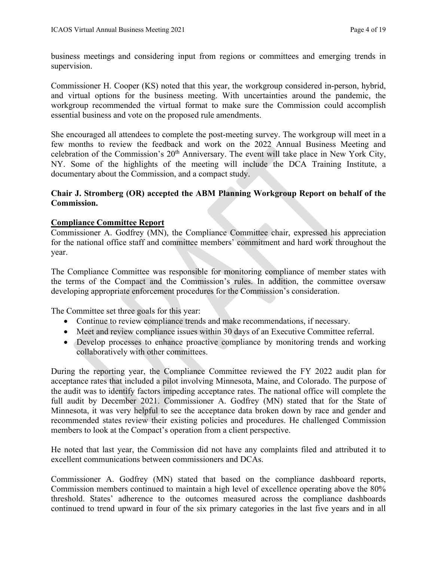business meetings and considering input from regions or committees and emerging trends in supervision.

Commissioner H. Cooper (KS) noted that this year, the workgroup considered in-person, hybrid, and virtual options for the business meeting. With uncertainties around the pandemic, the workgroup recommended the virtual format to make sure the Commission could accomplish essential business and vote on the proposed rule amendments.

She encouraged all attendees to complete the post-meeting survey. The workgroup will meet in a few months to review the feedback and work on the 2022 Annual Business Meeting and celebration of the Commission's 20<sup>th</sup> Anniversary. The event will take place in New York City, NY. Some of the highlights of the meeting will include the DCA Training Institute, a documentary about the Commission, and a compact study.

# **Chair J. Stromberg (OR) accepted the ABM Planning Workgroup Report on behalf of the Commission.**

# **Compliance Committee Report**

Commissioner A. Godfrey (MN), the Compliance Committee chair, expressed his appreciation for the national office staff and committee members' commitment and hard work throughout the year.

The Compliance Committee was responsible for monitoring compliance of member states with the terms of the Compact and the Commission's rules. In addition, the committee oversaw developing appropriate enforcement procedures for the Commission's consideration.

The Committee set three goals for this year:

- Continue to review compliance trends and make recommendations, if necessary.
- Meet and review compliance issues within 30 days of an Executive Committee referral.
- Develop processes to enhance proactive compliance by monitoring trends and working collaboratively with other committees.

During the reporting year, the Compliance Committee reviewed the FY 2022 audit plan for acceptance rates that included a pilot involving Minnesota, Maine, and Colorado. The purpose of the audit was to identify factors impeding acceptance rates. The national office will complete the full audit by December 2021. Commissioner A. Godfrey (MN) stated that for the State of Minnesota, it was very helpful to see the acceptance data broken down by race and gender and recommended states review their existing policies and procedures. He challenged Commission members to look at the Compact's operation from a client perspective.

He noted that last year, the Commission did not have any complaints filed and attributed it to excellent communications between commissioners and DCAs.

Commissioner A. Godfrey (MN) stated that based on the compliance dashboard reports, Commission members continued to maintain a high level of excellence operating above the 80% threshold. States' adherence to the outcomes measured across the compliance dashboards continued to trend upward in four of the six primary categories in the last five years and in all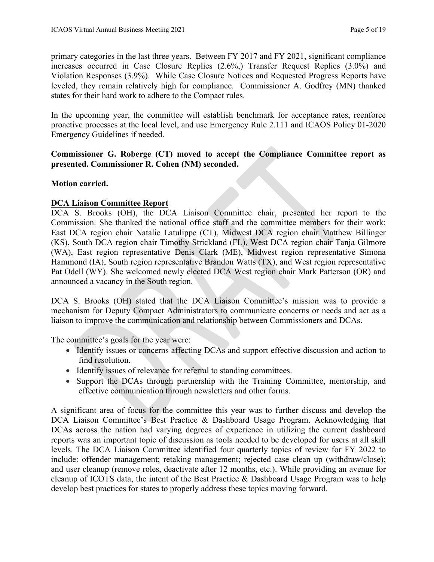primary categories in the last three years. Between FY 2017 and FY 2021, significant compliance increases occurred in Case Closure Replies (2.6%,) Transfer Request Replies (3.0%) and Violation Responses (3.9%). While Case Closure Notices and Requested Progress Reports have leveled, they remain relatively high for compliance. Commissioner A. Godfrey (MN) thanked states for their hard work to adhere to the Compact rules.

In the upcoming year, the committee will establish benchmark for acceptance rates, reenforce proactive processes at the local level, and use Emergency Rule 2.111 and ICAOS Policy 01-2020 Emergency Guidelines if needed.

# **Commissioner G. Roberge (CT) moved to accept the Compliance Committee report as presented. Commissioner R. Cohen (NM) seconded.**

# **Motion carried.**

# **DCA Liaison Committee Report**

DCA S. Brooks (OH), the DCA Liaison Committee chair, presented her report to the Commission. She thanked the national office staff and the committee members for their work: East DCA region chair Natalie Latulippe (CT), Midwest DCA region chair Matthew Billinger (KS), South DCA region chair Timothy Strickland (FL), West DCA region chair Tanja Gilmore (WA), East region representative Denis Clark (ME), Midwest region representative Simona Hammond (IA), South region representative Brandon Watts (TX), and West region representative Pat Odell (WY). She welcomed newly elected DCA West region chair Mark Patterson (OR) and announced a vacancy in the South region.

DCA S. Brooks (OH) stated that the DCA Liaison Committee's mission was to provide a mechanism for Deputy Compact Administrators to communicate concerns or needs and act as a liaison to improve the communication and relationship between Commissioners and DCAs.

The committee's goals for the year were:

- Identify issues or concerns affecting DCAs and support effective discussion and action to find resolution.
- Identify issues of relevance for referral to standing committees.
- Support the DCAs through partnership with the Training Committee, mentorship, and effective communication through newsletters and other forms.

A significant area of focus for the committee this year was to further discuss and develop the DCA Liaison Committee's Best Practice & Dashboard Usage Program. Acknowledging that DCAs across the nation had varying degrees of experience in utilizing the current dashboard reports was an important topic of discussion as tools needed to be developed for users at all skill levels. The DCA Liaison Committee identified four quarterly topics of review for FY 2022 to include: offender management; retaking management; rejected case clean up (withdraw/close); and user cleanup (remove roles, deactivate after 12 months, etc.). While providing an avenue for cleanup of ICOTS data, the intent of the Best Practice & Dashboard Usage Program was to help develop best practices for states to properly address these topics moving forward.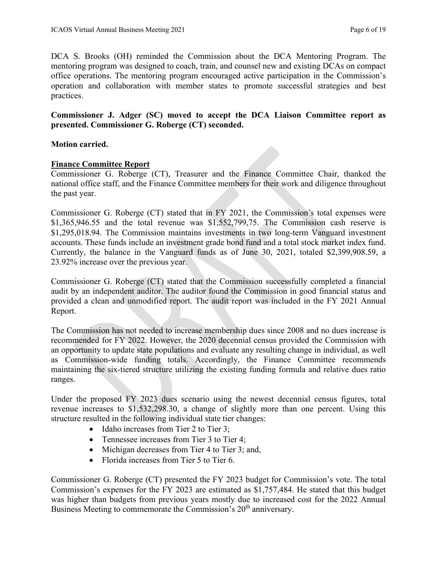DCA S. Brooks (OH) reminded the Commission about the DCA Mentoring Program. The mentoring program was designed to coach, train, and counsel new and existing DCAs on compact office operations. The mentoring program encouraged active participation in the Commission's operation and collaboration with member states to promote successful strategies and best practices.

# **Commissioner J. Adger (SC) moved to accept the DCA Liaison Committee report as presented. Commissioner G. Roberge (CT) seconded.**

# **Motion carried.**

# **Finance Committee Report**

Commissioner G. Roberge (CT), Treasurer and the Finance Committee Chair, thanked the national office staff, and the Finance Committee members for their work and diligence throughout the past year.

Commissioner G. Roberge (CT) stated that in FY 2021, the Commission's total expenses were  $$1,365,946.55$  and the total revenue was  $$1,552,799,75$ . The Commission cash reserve is \$1,295,018.94. The Commission maintains investments in two long-term Vanguard investment accounts. These funds include an investment grade bond fund and a total stock market index fund. Currently, the balance in the Vanguard funds as of June 30, 2021, totaled \$2,399,908.59, a 23.92% increase over the previous year.

Commissioner G. Roberge (CT) stated that the Commission successfully completed a financial audit by an independent auditor. The auditor found the Commission in good financial status and provided a clean and unmodified report. The audit report was included in the FY 2021 Annual Report.

The Commission has not needed to increase membership dues since 2008 and no dues increase is recommended for FY 2022. However, the 2020 decennial census provided the Commission with an opportunity to update state populations and evaluate any resulting change in individual, as well as Commission-wide funding totals. Accordingly, the Finance Committee recommends maintaining the six-tiered structure utilizing the existing funding formula and relative dues ratio ranges.

Under the proposed FY 2023 dues scenario using the newest decennial census figures, total revenue increases to \$1,532,298.30, a change of slightly more than one percent. Using this structure resulted in the following individual state tier changes:

- Idaho increases from Tier 2 to Tier 3:
- Tennessee increases from Tier 3 to Tier 4;
- Michigan decreases from Tier 4 to Tier 3; and,
- Florida increases from Tier 5 to Tier 6.

Commissioner G. Roberge (CT) presented the FY 2023 budget for Commission's vote. The total Commission's expenses for the FY 2023 are estimated as \$1,757,484. He stated that this budget was higher than budgets from previous years mostly due to increased cost for the 2022 Annual Business Meeting to commemorate the Commission's 20<sup>th</sup> anniversary.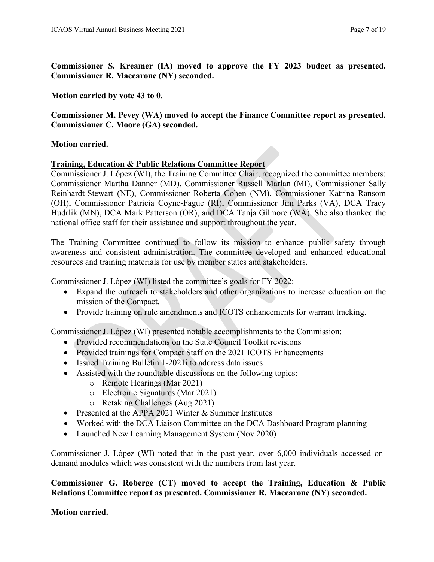**Commissioner S. Kreamer (IA) moved to approve the FY 2023 budget as presented. Commissioner R. Maccarone (NY) seconded.** 

**Motion carried by vote 43 to 0.** 

**Commissioner M. Pevey (WA) moved to accept the Finance Committee report as presented. Commissioner C. Moore (GA) seconded.** 

## **Motion carried.**

# **Training, Education & Public Relations Committee Report**

Commissioner J. López (WI), the Training Committee Chair, recognized the committee members: Commissioner Martha Danner (MD), Commissioner Russell Marlan (MI), Commissioner Sally Reinhardt-Stewart (NE), Commissioner Roberta Cohen (NM), Commissioner Katrina Ransom (OH), Commissioner Patricia Coyne-Fague (RI), Commissioner Jim Parks (VA), DCA Tracy Hudrlik (MN), DCA Mark Patterson (OR), and DCA Tanja Gilmore (WA). She also thanked the national office staff for their assistance and support throughout the year.

The Training Committee continued to follow its mission to enhance public safety through awareness and consistent administration. The committee developed and enhanced educational resources and training materials for use by member states and stakeholders.

Commissioner J. López (WI) listed the committee's goals for FY 2022:

- Expand the outreach to stakeholders and other organizations to increase education on the mission of the Compact.
- Provide training on rule amendments and ICOTS enhancements for warrant tracking.

Commissioner J. López (WI) presented notable accomplishments to the Commission:

- Provided recommendations on the State Council Toolkit revisions
- Provided trainings for Compact Staff on the 2021 ICOTS Enhancements
- Issued Training Bulletin 1-2021i to address data issues
- Assisted with the roundtable discussions on the following topics:
	- o Remote Hearings (Mar 2021)
	- o Electronic Signatures (Mar 2021)
	- o Retaking Challenges (Aug 2021)
- Presented at the APPA 2021 Winter & Summer Institutes
- Worked with the DCA Liaison Committee on the DCA Dashboard Program planning
- Launched New Learning Management System (Nov 2020)

Commissioner J. López (WI) noted that in the past year, over 6,000 individuals accessed ondemand modules which was consistent with the numbers from last year.

**Commissioner G. Roberge (CT) moved to accept the Training, Education & Public Relations Committee report as presented. Commissioner R. Maccarone (NY) seconded.** 

## **Motion carried.**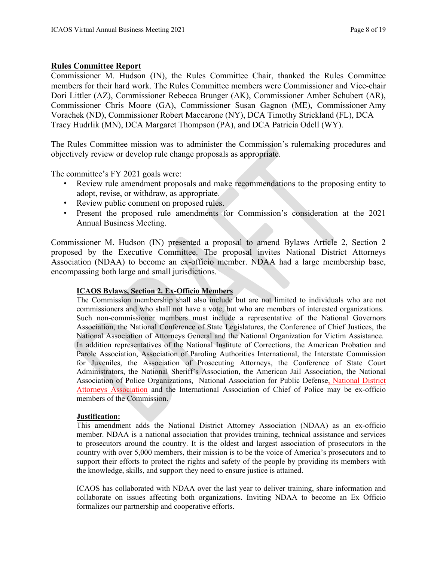# **Rules Committee Report**

Commissioner M. Hudson (IN), the Rules Committee Chair, thanked the Rules Committee members for their hard work. The Rules Committee members were Commissioner and Vice-chair Dori Littler (AZ), Commissioner Rebecca Brunger (AK), Commissioner Amber Schubert (AR), Commissioner Chris Moore (GA), Commissioner Susan Gagnon (ME), Commissioner Amy Vorachek (ND), Commissioner Robert Maccarone (NY), DCA Timothy Strickland (FL), DCA Tracy Hudrlik (MN), DCA Margaret Thompson (PA), and DCA Patricia Odell (WY).

The Rules Committee mission was to administer the Commission's rulemaking procedures and objectively review or develop rule change proposals as appropriate.

The committee's FY 2021 goals were:

- Review rule amendment proposals and make recommendations to the proposing entity to adopt, revise, or withdraw, as appropriate.
- Review public comment on proposed rules.
- Present the proposed rule amendments for Commission's consideration at the 2021 Annual Business Meeting.

Commissioner M. Hudson (IN) presented a proposal to amend Bylaws Article 2, Section 2 proposed by the Executive Committee. The proposal invites National District Attorneys Association (NDAA) to become an ex-officio member. NDAA had a large membership base, encompassing both large and small jurisdictions.

## **ICAOS Bylaws, Section 2. Ex-Officio Members**

The Commission membership shall also include but are not limited to individuals who are not commissioners and who shall not have a vote, but who are members of interested organizations. Such non-commissioner members must include a representative of the National Governors Association, the National Conference of State Legislatures, the Conference of Chief Justices, the National Association of Attorneys General and the National Organization for Victim Assistance. In addition representatives of the National Institute of Corrections, the American Probation and Parole Association, Association of Paroling Authorities International, the Interstate Commission for Juveniles, the Association of Prosecuting Attorneys, the Conference of State Court Administrators, the National Sheriff's Association, the American Jail Association, the National Association of Police Organizations, National Association for Public Defense, National District Attorneys Association and the International Association of Chief of Police may be ex-officio members of the Commission.

### **Justification:**

This amendment adds the National District Attorney Association (NDAA) as an ex-officio member. NDAA is a national association that provides training, technical assistance and services to prosecutors around the country. It is the oldest and largest association of prosecutors in the country with over 5,000 members, their mission is to be the voice of America's prosecutors and to support their efforts to protect the rights and safety of the people by providing its members with the knowledge, skills, and support they need to ensure justice is attained.

ICAOS has collaborated with NDAA over the last year to deliver training, share information and collaborate on issues affecting both organizations. Inviting NDAA to become an Ex Officio formalizes our partnership and cooperative efforts.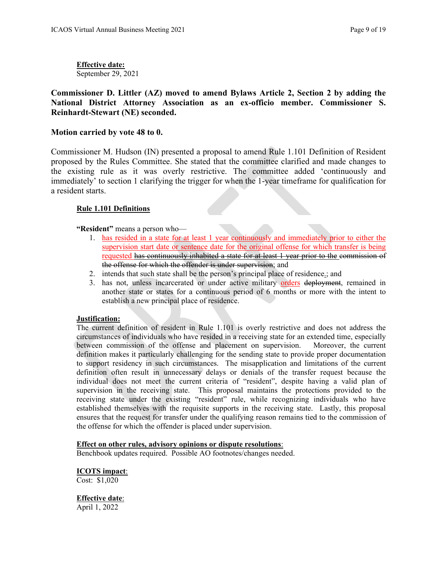**Effective date:** September 29, 2021

**Commissioner D. Littler (AZ) moved to amend Bylaws Article 2, Section 2 by adding the National District Attorney Association as an ex-officio member. Commissioner S. Reinhardt-Stewart (NE) seconded.** 

## **Motion carried by vote 48 to 0.**

Commissioner M. Hudson (IN) presented a proposal to amend Rule 1.101 Definition of Resident proposed by the Rules Committee. She stated that the committee clarified and made changes to the existing rule as it was overly restrictive. The committee added 'continuously and immediately' to section 1 clarifying the trigger for when the 1-year timeframe for qualification for a resident starts.

## **Rule 1.101 Definitions**

**"Resident"** means a person who—

- 1. has resided in a state for at least 1 year continuously and immediately prior to either the supervision start date or sentence date for the original offense for which transfer is being requested has continuously inhabited a state for at least 1 year prior to the commission of the offense for which the offender is under supervision; and
- 2. intends that such state shall be the person's principal place of residence.; and
- 3. has not, unless incarcerated or under active military orders deployment, remained in another state or states for a continuous period of 6 months or more with the intent to establish a new principal place of residence.

### **Justification:**

The current definition of resident in Rule 1.101 is overly restrictive and does not address the circumstances of individuals who have resided in a receiving state for an extended time, especially between commission of the offense and placement on supervision. Moreover, the current definition makes it particularly challenging for the sending state to provide proper documentation to support residency in such circumstances. The misapplication and limitations of the current definition often result in unnecessary delays or denials of the transfer request because the individual does not meet the current criteria of "resident", despite having a valid plan of supervision in the receiving state. This proposal maintains the protections provided to the receiving state under the existing "resident" rule, while recognizing individuals who have established themselves with the requisite supports in the receiving state. Lastly, this proposal ensures that the request for transfer under the qualifying reason remains tied to the commission of the offense for which the offender is placed under supervision.

### **Effect on other rules, advisory opinions or dispute resolutions**:

Benchbook updates required. Possible AO footnotes/changes needed.

### **ICOTS impact**:

Cost: \$1,020

# **Effective date**:

April 1, 2022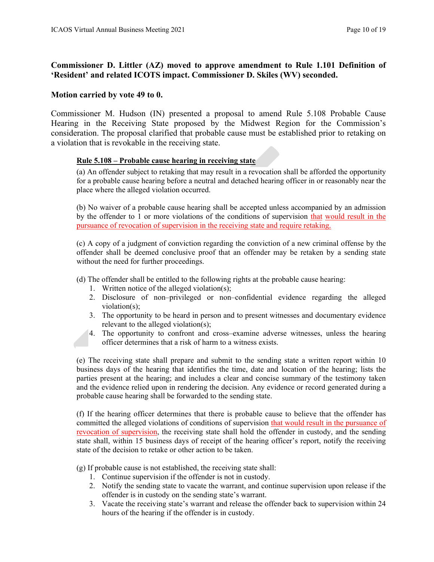# **Commissioner D. Littler (AZ) moved to approve amendment to Rule 1.101 Definition of 'Resident' and related ICOTS impact. Commissioner D. Skiles (WV) seconded.**

## **Motion carried by vote 49 to 0.**

Commissioner M. Hudson (IN) presented a proposal to amend Rule 5.108 Probable Cause Hearing in the Receiving State proposed by the Midwest Region for the Commission's consideration. The proposal clarified that probable cause must be established prior to retaking on a violation that is revokable in the receiving state.

## **Rule 5.108 – Probable cause hearing in receiving state**

(a) An offender subject to retaking that may result in a revocation shall be afforded the opportunity for a probable cause hearing before a neutral and detached hearing officer in or reasonably near the place where the alleged violation occurred.

(b) No waiver of a probable cause hearing shall be accepted unless accompanied by an admission by the offender to 1 or more violations of the conditions of supervision that would result in the pursuance of revocation of supervision in the receiving state and require retaking.

(c) A copy of a judgment of conviction regarding the conviction of a new criminal offense by the offender shall be deemed conclusive proof that an offender may be retaken by a sending state without the need for further proceedings.

(d) The offender shall be entitled to the following rights at the probable cause hearing:

- 1. Written notice of the alleged violation(s);
- 2. Disclosure of non–privileged or non–confidential evidence regarding the alleged violation(s);
- 3. The opportunity to be heard in person and to present witnesses and documentary evidence relevant to the alleged violation(s);
- 4. The opportunity to confront and cross–examine adverse witnesses, unless the hearing officer determines that a risk of harm to a witness exists.

(e) The receiving state shall prepare and submit to the sending state a written report within 10 business days of the hearing that identifies the time, date and location of the hearing; lists the parties present at the hearing; and includes a clear and concise summary of the testimony taken and the evidence relied upon in rendering the decision. Any evidence or record generated during a probable cause hearing shall be forwarded to the sending state.

(f) If the hearing officer determines that there is probable cause to believe that the offender has committed the alleged violations of conditions of supervision that would result in the pursuance of revocation of supervision, the receiving state shall hold the offender in custody, and the sending state shall, within 15 business days of receipt of the hearing officer's report, notify the receiving state of the decision to retake or other action to be taken.

(g) If probable cause is not established, the receiving state shall:

- 1. Continue supervision if the offender is not in custody.
- 2. Notify the sending state to vacate the warrant, and continue supervision upon release if the offender is in custody on the sending state's warrant.
- 3. Vacate the receiving state's warrant and release the offender back to supervision within 24 hours of the hearing if the offender is in custody.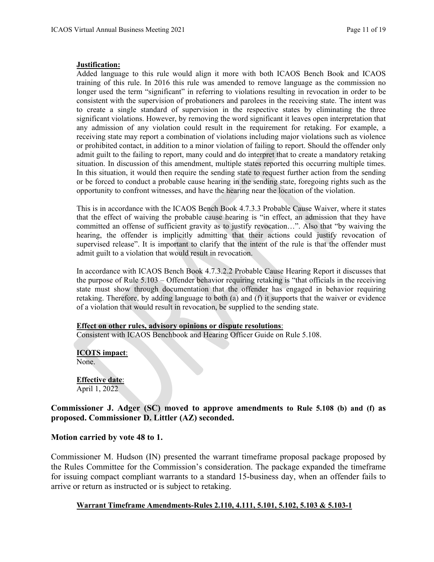#### **Justification:**

Added language to this rule would align it more with both ICAOS Bench Book and ICAOS training of this rule. In 2016 this rule was amended to remove language as the commission no longer used the term "significant" in referring to violations resulting in revocation in order to be consistent with the supervision of probationers and parolees in the receiving state. The intent was to create a single standard of supervision in the respective states by eliminating the three significant violations. However, by removing the word significant it leaves open interpretation that any admission of any violation could result in the requirement for retaking. For example, a receiving state may report a combination of violations including major violations such as violence or prohibited contact, in addition to a minor violation of failing to report. Should the offender only admit guilt to the failing to report, many could and do interpret that to create a mandatory retaking situation. In discussion of this amendment, multiple states reported this occurring multiple times. In this situation, it would then require the sending state to request further action from the sending or be forced to conduct a probable cause hearing in the sending state, foregoing rights such as the opportunity to confront witnesses, and have the hearing near the location of the violation.

This is in accordance with the ICAOS Bench Book 4.7.3.3 Probable Cause Waiver, where it states that the effect of waiving the probable cause hearing is "in effect, an admission that they have committed an offense of sufficient gravity as to justify revocation…". Also that "by waiving the hearing, the offender is implicitly admitting that their actions could justify revocation of supervised release". It is important to clarify that the intent of the rule is that the offender must admit guilt to a violation that would result in revocation.

In accordance with ICAOS Bench Book 4.7.3.2.2 Probable Cause Hearing Report it discusses that the purpose of Rule 5.103 – Offender behavior requiring retaking is "that officials in the receiving state must show through documentation that the offender has engaged in behavior requiring retaking. Therefore, by adding language to both (a) and (f) it supports that the waiver or evidence of a violation that would result in revocation, be supplied to the sending state.

### **Effect on other rules, advisory opinions or dispute resolutions**:

Consistent with ICAOS Benchbook and Hearing Officer Guide on Rule 5.108.

**ICOTS impact**: None.

**Effective date**: April 1, 2022

## **Commissioner J. Adger (SC) moved to approve amendments to Rule 5.108 (b) and (f) as proposed. Commissioner D. Littler (AZ) seconded.**

### **Motion carried by vote 48 to 1.**

Commissioner M. Hudson (IN) presented the warrant timeframe proposal package proposed by the Rules Committee for the Commission's consideration. The package expanded the timeframe for issuing compact compliant warrants to a standard 15-business day, when an offender fails to arrive or return as instructed or is subject to retaking.

### **[Warrant Timeframe Amendments-Rules 2.110, 4.111, 5.101, 5.102, 5.103 & 5.103-1](https://support.interstatecompact.org/hc/en-us/community/posts/1500000511041-2021-Warrant-Timeframe-Amendments-to-Rules-2-110-4-111-5-101-5-102-5-103-5-103-1-Rules-Committee-)**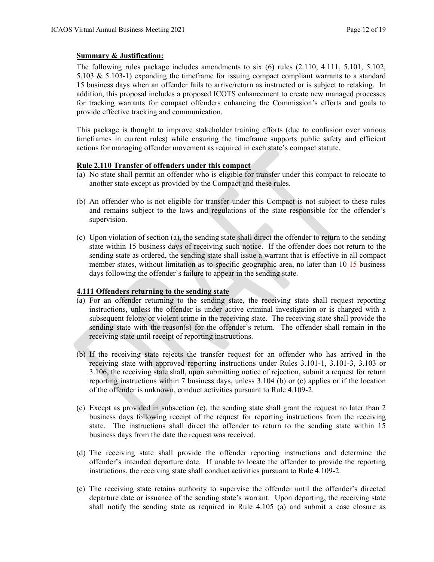### **Summary & Justification:**

The following rules package includes amendments to six (6) rules (2.110, 4.111, 5.101, 5.102, 5.103 & 5.103-1) expanding the timeframe for issuing compact compliant warrants to a standard 15 business days when an offender fails to arrive/return as instructed or is subject to retaking. In addition, this proposal includes a proposed ICOTS enhancement to create new managed processes for tracking warrants for compact offenders enhancing the Commission's efforts and goals to provide effective tracking and communication.

This package is thought to improve stakeholder training efforts (due to confusion over various timeframes in current rules) while ensuring the timeframe supports public safety and efficient actions for managing offender movement as required in each state's compact statute.

#### **Rule 2.110 Transfer of offenders under this compact**

- (a) No state shall permit an offender who is eligible for transfer under this compact to relocate to another state except as provided by the Compact and these rules.
- (b) An offender who is not eligible for transfer under this Compact is not subject to these rules and remains subject to the laws and regulations of the state responsible for the offender's supervision.
- (c) Upon violation of section (a), the sending state shall direct the offender to return to the sending state within 15 business days of receiving such notice. If the offender does not return to the sending state as ordered, the sending state shall issue a warrant that is effective in all compact member states, without limitation as to specific geographic area, no later than  $\frac{10}{15}$  business days following the offender's failure to appear in the sending state.

### **4.111 Offenders returning to the sending state**

- (a) For an offender returning to the sending state, the receiving state shall request reporting instructions, unless the offender is under active criminal investigation or is charged with a subsequent felony or violent crime in the receiving state. The receiving state shall provide the sending state with the reason(s) for the offender's return. The offender shall remain in the receiving state until receipt of reporting instructions.
- (b) If the receiving state rejects the transfer request for an offender who has arrived in the receiving state with approved reporting instructions under Rules 3.101-1, 3.101-3, 3.103 or 3.106, the receiving state shall, upon submitting notice of rejection, submit a request for return reporting instructions within 7 business days, unless 3.104 (b) or (c) applies or if the location of the offender is unknown, conduct activities pursuant to Rule 4.109-2.
- (c) Except as provided in subsection (e), the sending state shall grant the request no later than 2 business days following receipt of the request for reporting instructions from the receiving state. The instructions shall direct the offender to return to the sending state within 15 business days from the date the request was received.
- (d) The receiving state shall provide the offender reporting instructions and determine the offender's intended departure date. If unable to locate the offender to provide the reporting instructions, the receiving state shall conduct activities pursuant to Rule 4.109-2.
- (e) The receiving state retains authority to supervise the offender until the offender's directed departure date or issuance of the sending state's warrant. Upon departing, the receiving state shall notify the sending state as required in Rule 4.105 (a) and submit a case closure as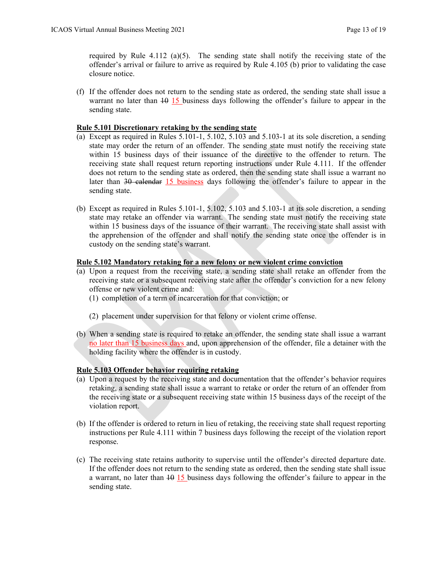required by Rule 4.112 (a)(5). The sending state shall notify the receiving state of the offender's arrival or failure to arrive as required by Rule 4.105 (b) prior to validating the case closure notice.

(f) If the offender does not return to the sending state as ordered, the sending state shall issue a warrant no later than  $\frac{10}{15}$  business days following the offender's failure to appear in the sending state.

#### **Rule 5.101 Discretionary retaking by the sending state**

- (a) Except as required in Rules 5.101-1, 5.102, 5.103 and 5.103-1 at its sole discretion, a sending state may order the return of an offender. The sending state must notify the receiving state within 15 business days of their issuance of the directive to the offender to return. The receiving state shall request return reporting instructions under Rule 4.111. If the offender does not return to the sending state as ordered, then the sending state shall issue a warrant no later than 30 calendar 15 business days following the offender's failure to appear in the sending state.
- (b) Except as required in Rules  $5.101-1$ ,  $5.102$ ,  $5.103$  and  $5.103-1$  at its sole discretion, a sending state may retake an offender via warrant. The sending state must notify the receiving state within 15 business days of the issuance of their warrant. The receiving state shall assist with the apprehension of the offender and shall notify the sending state once the offender is in custody on the sending state's warrant.

#### **Rule 5.102 Mandatory retaking for a new felony or new violent crime conviction**

- (a) Upon a request from the receiving state, a sending state shall retake an offender from the receiving state or a subsequent receiving state after the offender's conviction for a new felony offense or new violent crime and:
	- (1) completion of a term of incarceration for that conviction; or
	- (2) placement under supervision for that felony or violent crime offense.
- (b) When a sending state is required to retake an offender, the sending state shall issue a warrant no later than 15 business days and, upon apprehension of the offender, file a detainer with the holding facility where the offender is in custody.

### **Rule 5.103 Offender behavior requiring retaking**

- (a) Upon a request by the receiving state and documentation that the offender's behavior requires retaking, a sending state shall issue a warrant to retake or order the return of an offender from the receiving state or a subsequent receiving state within 15 business days of the receipt of the violation report.
- (b) If the offender is ordered to return in lieu of retaking, the receiving state shall request reporting instructions per Rule 4.111 within 7 business days following the receipt of the violation report response.
- (c) The receiving state retains authority to supervise until the offender's directed departure date. If the offender does not return to the sending state as ordered, then the sending state shall issue a warrant, no later than  $\frac{10}{15}$  business days following the offender's failure to appear in the sending state.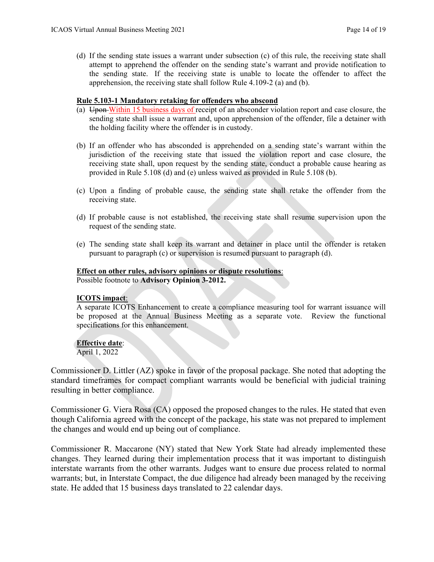(d) If the sending state issues a warrant under subsection (c) of this rule, the receiving state shall attempt to apprehend the offender on the sending state's warrant and provide notification to the sending state. If the receiving state is unable to locate the offender to affect the apprehension, the receiving state shall follow Rule 4.109-2 (a) and (b).

## **Rule 5.103-1 Mandatory retaking for offenders who abscond**

- (a) Upon Within 15 business days of receipt of an absconder violation report and case closure, the sending state shall issue a warrant and, upon apprehension of the offender, file a detainer with the holding facility where the offender is in custody.
- (b) If an offender who has absconded is apprehended on a sending state's warrant within the jurisdiction of the receiving state that issued the violation report and case closure, the receiving state shall, upon request by the sending state, conduct a probable cause hearing as provided in Rule 5.108 (d) and (e) unless waived as provided in Rule 5.108 (b).
- (c) Upon a finding of probable cause, the sending state shall retake the offender from the receiving state.
- (d) If probable cause is not established, the receiving state shall resume supervision upon the request of the sending state.
- (e) The sending state shall keep its warrant and detainer in place until the offender is retaken pursuant to paragraph (c) or supervision is resumed pursuant to paragraph (d).

## **Effect on other rules, advisory opinions or dispute resolutions**:

Possible footnote to **[Advisory Opinion 3-2012.](https://www.interstatecompact.org/advisory-opinions/3-2012)**

### **ICOTS impact**:

A separate ICOTS Enhancement to create a compliance measuring tool for warrant issuance will be proposed at the Annual Business Meeting as a separate vote. Review the functional specifications for this enhancement.

## **Effective date**:

April 1, 2022

Commissioner D. Littler (AZ) spoke in favor of the proposal package. She noted that adopting the standard timeframes for compact compliant warrants would be beneficial with judicial training resulting in better compliance.

Commissioner G. Viera Rosa (CA) opposed the proposed changes to the rules. He stated that even though California agreed with the concept of the package, his state was not prepared to implement the changes and would end up being out of compliance.

Commissioner R. Maccarone (NY) stated that New York State had already implemented these changes. They learned during their implementation process that it was important to distinguish interstate warrants from the other warrants. Judges want to ensure due process related to normal warrants; but, in Interstate Compact, the due diligence had already been managed by the receiving state. He added that 15 business days translated to 22 calendar days.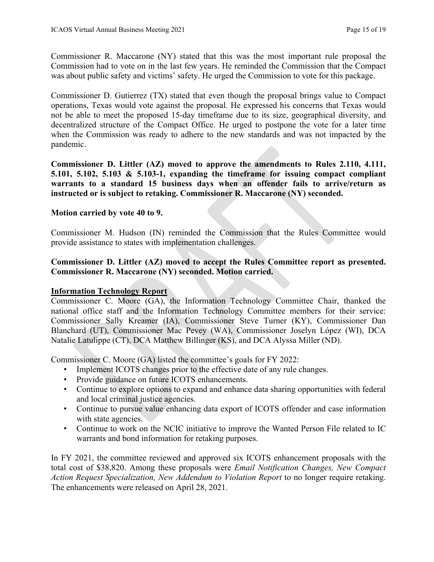Commissioner R. Maccarone (NY) stated that this was the most important rule proposal the Commission had to vote on in the last few years. He reminded the Commission that the Compact was about public safety and victims' safety. He urged the Commission to vote for this package.

Commissioner D. Gutierrez (TX) stated that even though the proposal brings value to Compact operations, Texas would vote against the proposal. He expressed his concerns that Texas would not be able to meet the proposed 15-day timeframe due to its size, geographical diversity, and decentralized structure of the Compact Office. He urged to postpone the vote for a later time when the Commission was ready to adhere to the new standards and was not impacted by the pandemic.

**Commissioner D. Littler (AZ) moved to approve the amendments to Rules 2.110, 4.111, 5.101, 5.102, 5.103 & 5.103-1, expanding the timeframe for issuing compact compliant warrants to a standard 15 business days when an offender fails to arrive/return as instructed or is subject to retaking. Commissioner R. Maccarone (NY) seconded.**

# **Motion carried by vote 40 to 9.**

Commissioner M. Hudson (IN) reminded the Commission that the Rules Committee would provide assistance to states with implementation challenges.

# **Commissioner D. Littler (AZ) moved to accept the Rules Committee report as presented. Commissioner R. Maccarone (NY) seconded. Motion carried.**

# **Information Technology Report**

Commissioner C. Moore (GA), the Information Technology Committee Chair, thanked the national office staff and the Information Technology Committee members for their service: Commissioner Sally Kreamer (IA), Commissioner Steve Turner (KY), Commissioner Dan Blanchard (UT), Commissioner Mac Pevey (WA), Commissioner Joselyn López (WI), DCA Natalie Latulippe (CT), DCA Matthew Billinger (KS), and DCA Alyssa Miller (ND).

Commissioner C. Moore (GA) listed the committee's goals for FY 2022:

- Implement ICOTS changes prior to the effective date of any rule changes.
- Provide guidance on future ICOTS enhancements.
- Continue to explore options to expand and enhance data sharing opportunities with federal and local criminal justice agencies.
- Continue to pursue value enhancing data export of ICOTS offender and case information with state agencies.
- Continue to work on the NCIC initiative to improve the Wanted Person File related to IC warrants and bond information for retaking purposes.

In FY 2021, the committee reviewed and approved six ICOTS enhancement proposals with the total cost of \$38,820. Among these proposals were *Email Notification Changes, New Compact Action Request Specialization, New Addendum to Violation Report* to no longer require retaking. The enhancements were released on April 28, 2021.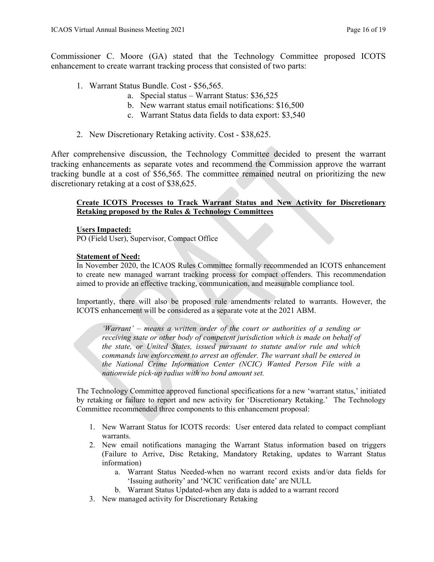Commissioner C. Moore (GA) stated that the Technology Committee proposed ICOTS enhancement to create warrant tracking process that consisted of two parts:

- 1. Warrant Status Bundle. Cost \$56,565.
	- a. Special status Warrant Status: \$36,525
	- b. New warrant status email notifications: \$16,500
	- c. Warrant Status data fields to data export: \$3,540
- 2. New Discretionary Retaking activity. Cost \$38,625.

After comprehensive discussion, the Technology Committee decided to present the warrant tracking enhancements as separate votes and recommend the Commission approve the warrant tracking bundle at a cost of \$56,565. The committee remained neutral on prioritizing the new discretionary retaking at a cost of \$38,625.

### **Create ICOTS Processes to Track Warrant Status and New Activity for Discretionary Retaking proposed by the Rules & Technology Committees**

### **Users Impacted:**

PO (Field User), Supervisor, Compact Office

### **Statement of Need:**

In November 2020, the ICAOS Rules Committee formally recommended an ICOTS enhancement to create new managed warrant tracking process for compact offenders. This recommendation aimed to provide an effective tracking, communication, and measurable compliance tool.

Importantly, there will also be proposed rule amendments related to warrants. However, the ICOTS enhancement will be considered as a separate vote at the 2021 ABM.

*'Warrant' – means a written order of the court or authorities of a sending or receiving state or other body of competent jurisdiction which is made on behalf of the state, or United States, issued pursuant to statute and/or rule and which commands law enforcement to arrest an offender. The warrant shall be entered in the National Crime Information Center (NCIC) Wanted Person File with a nationwide pick-up radius with no bond amount set.*

The Technology Committee approved functional specifications for a new 'warrant status,' initiated by retaking or failure to report and new activity for 'Discretionary Retaking.' The Technology Committee recommended three components to this enhancement proposal:

- 1. New Warrant Status for ICOTS records: User entered data related to compact compliant warrants.
- 2. New email notifications managing the Warrant Status information based on triggers (Failure to Arrive, Disc Retaking, Mandatory Retaking, updates to Warrant Status information)
	- a. Warrant Status Needed-when no warrant record exists and/or data fields for 'Issuing authority' and 'NCIC verification date' are NULL
	- b. Warrant Status Updated-when any data is added to a warrant record
- 3. New managed activity for Discretionary Retaking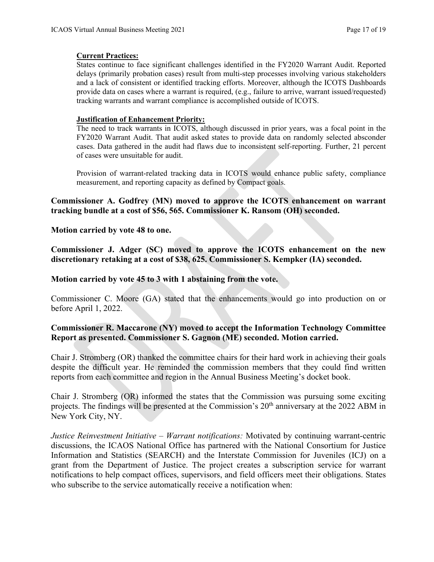## **Current Practices:**

States continue to face significant challenges identified in the FY2020 Warrant Audit. Reported delays (primarily probation cases) result from multi-step processes involving various stakeholders and a lack of consistent or identified tracking efforts. Moreover, although the ICOTS Dashboards provide data on cases where a warrant is required, (e.g., failure to arrive, warrant issued/requested) tracking warrants and warrant compliance is accomplished outside of ICOTS.

## **Justification of Enhancement Priority:**

The need to track warrants in ICOTS, although discussed in prior years, was a focal point in the FY2020 Warrant Audit. That audit asked states to provide data on randomly selected absconder cases. Data gathered in the audit had flaws due to inconsistent self-reporting. Further, 21 percent of cases were unsuitable for audit.

Provision of warrant-related tracking data in ICOTS would enhance public safety, compliance measurement, and reporting capacity as defined by Compact goals.

# **Commissioner A. Godfrey (MN) moved to approve the ICOTS enhancement on warrant tracking bundle at a cost of \$56, 565. Commissioner K. Ransom (OH) seconded.**

**Motion carried by vote 48 to one.**

**Commissioner J. Adger (SC) moved to approve the ICOTS enhancement on the new discretionary retaking at a cost of \$38, 625. Commissioner S. Kempker (IA) seconded.** 

## **Motion carried by vote 45 to 3 with 1 abstaining from the vote.**

Commissioner C. Moore (GA) stated that the enhancements would go into production on or before April 1, 2022.

# **Commissioner R. Maccarone (NY) moved to accept the Information Technology Committee Report as presented. Commissioner S. Gagnon (ME) seconded. Motion carried.**

Chair J. Stromberg (OR) thanked the committee chairs for their hard work in achieving their goals despite the difficult year. He reminded the commission members that they could find written reports from each committee and region in the Annual Business Meeting's docket book.

Chair J. Stromberg (OR) informed the states that the Commission was pursuing some exciting projects. The findings will be presented at the Commission's 20<sup>th</sup> anniversary at the 2022 ABM in New York City, NY.

*Justice Reinvestment Initiative – Warrant notifications:* Motivated by continuing warrant-centric discussions, the ICAOS National Office has partnered with the National Consortium for Justice Information and Statistics (SEARCH) and the Interstate Commission for Juveniles (ICJ) on a grant from the Department of Justice. The project creates a subscription service for warrant notifications to help compact offices, supervisors, and field officers meet their obligations. States who subscribe to the service automatically receive a notification when: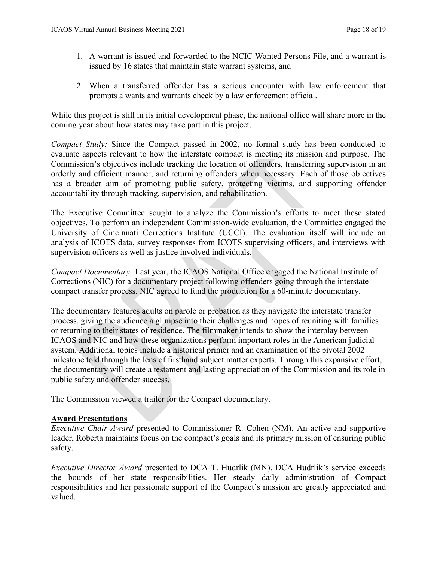- 1. A warrant is issued and forwarded to the NCIC Wanted Persons File, and a warrant is issued by 16 states that maintain state warrant systems, and
- 2. When a transferred offender has a serious encounter with law enforcement that prompts a wants and warrants check by a law enforcement official.

While this project is still in its initial development phase, the national office will share more in the coming year about how states may take part in this project.

*Compact Study:* Since the Compact passed in 2002, no formal study has been conducted to evaluate aspects relevant to how the interstate compact is meeting its mission and purpose. The Commission's objectives include tracking the location of offenders, transferring supervision in an orderly and efficient manner, and returning offenders when necessary. Each of those objectives has a broader aim of promoting public safety, protecting victims, and supporting offender accountability through tracking, supervision, and rehabilitation.

The Executive Committee sought to analyze the Commission's efforts to meet these stated objectives. To perform an independent Commission-wide evaluation, the Committee engaged the University of Cincinnati Corrections Institute (UCCI). The evaluation itself will include an analysis of ICOTS data, survey responses from ICOTS supervising officers, and interviews with supervision officers as well as justice involved individuals.

*Compact Documentary:* Last year, the ICAOS National Office engaged the National Institute of Corrections (NIC) for a documentary project following offenders going through the interstate compact transfer process. NIC agreed to fund the production for a 60-minute documentary.

The documentary features adults on parole or probation as they navigate the interstate transfer process, giving the audience a glimpse into their challenges and hopes of reuniting with families or returning to their states of residence. The filmmaker intends to show the interplay between ICAOS and NIC and how these organizations perform important roles in the American judicial system. Additional topics include a historical primer and an examination of the pivotal 2002 milestone told through the lens of firsthand subject matter experts. Through this expansive effort, the documentary will create a testament and lasting appreciation of the Commission and its role in public safety and offender success.

The Commission viewed a trailer for the Compact documentary.

## **Award Presentations**

*Executive Chair Award* presented to Commissioner R. Cohen (NM). An active and supportive leader, Roberta maintains focus on the compact's goals and its primary mission of ensuring public safety.

*Executive Director Award* presented to DCA T. Hudrlik (MN). DCA Hudrlik's service exceeds the bounds of her state responsibilities. Her steady daily administration of Compact responsibilities and her passionate support of the Compact's mission are greatly appreciated and valued.